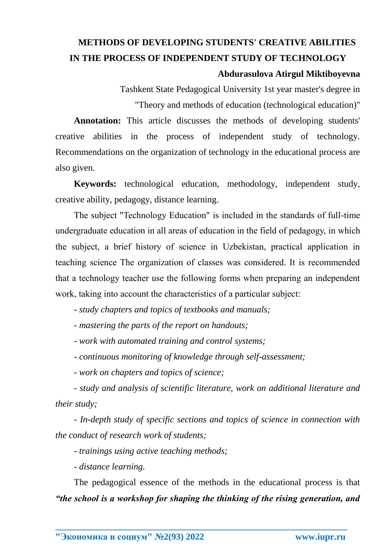## **METHODS OF DEVELOPING STUDENTS' CREATIVE ABILITIES IN THE PROCESS OF INDEPENDENT STUDY OF TECHNOLOGY Abdurasulova Atirgul Miktiboyevna**

Tashkent State Pedagogical University 1st year master's degree in "Theory and methods of education (technological education)"

**Annotation:** This article discusses the methods of developing students' creative abilities in the process of independent study of technology. Recommendations on the organization of technology in the educational process are also given.

**Keywords:** technological education, methodology, independent study, creative ability, pedagogy, distance learning.

The subject "Technology Education" is included in the standards of full-time undergraduate education in all areas of education in the field of pedagogy, in which the subject, a brief history of science in Uzbekistan, practical application in teaching science The organization of classes was considered. It is recommended that a technology teacher use the following forms when preparing an independent work, taking into account the characteristics of a particular subject:

*- study chapters and topics of textbooks and manuals;*

*- mastering the parts of the report on handouts;*

*- work with automated training and control systems;*

*- continuous monitoring of knowledge through self-assessment;*

*- work on chapters and topics of science;*

*- study and analysis of scientific literature, work on additional literature and their study;*

*- In-depth study of specific sections and topics of science in connection with the conduct of research work of students;*

*- trainings using active teaching methods;*

*- distance learning.*

The pedagogical essence of the methods in the educational process is that *"the school is a workshop for shaping the thinking of the rising generation, and*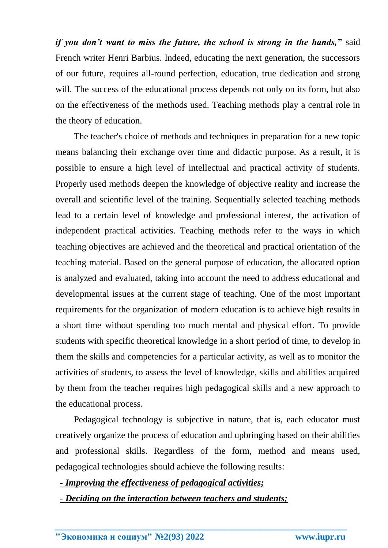*if you don't want to miss the future, the school is strong in the hands,"* said French writer Henri Barbius. Indeed, educating the next generation, the successors of our future, requires all-round perfection, education, true dedication and strong will. The success of the educational process depends not only on its form, but also on the effectiveness of the methods used. Teaching methods play a central role in the theory of education.

The teacher's choice of methods and techniques in preparation for a new topic means balancing their exchange over time and didactic purpose. As a result, it is possible to ensure a high level of intellectual and practical activity of students. Properly used methods deepen the knowledge of objective reality and increase the overall and scientific level of the training. Sequentially selected teaching methods lead to a certain level of knowledge and professional interest, the activation of independent practical activities. Teaching methods refer to the ways in which teaching objectives are achieved and the theoretical and practical orientation of the teaching material. Based on the general purpose of education, the allocated option is analyzed and evaluated, taking into account the need to address educational and developmental issues at the current stage of teaching. One of the most important requirements for the organization of modern education is to achieve high results in a short time without spending too much mental and physical effort. To provide students with specific theoretical knowledge in a short period of time, to develop in them the skills and competencies for a particular activity, as well as to monitor the activities of students, to assess the level of knowledge, skills and abilities acquired by them from the teacher requires high pedagogical skills and a new approach to the educational process.

Pedagogical technology is subjective in nature, that is, each educator must creatively organize the process of education and upbringing based on their abilities and professional skills. Regardless of the form, method and means used, pedagogical technologies should achieve the following results:

**\_\_\_\_\_\_\_\_\_\_\_\_\_\_\_\_\_\_\_\_\_\_\_\_\_\_\_\_\_\_\_\_\_\_\_\_\_\_\_\_\_\_\_\_\_\_\_\_\_\_\_\_\_\_\_\_\_\_\_\_\_\_\_\_**

*- Improving the effectiveness of pedagogical activities;*

*- Deciding on the interaction between teachers and students;*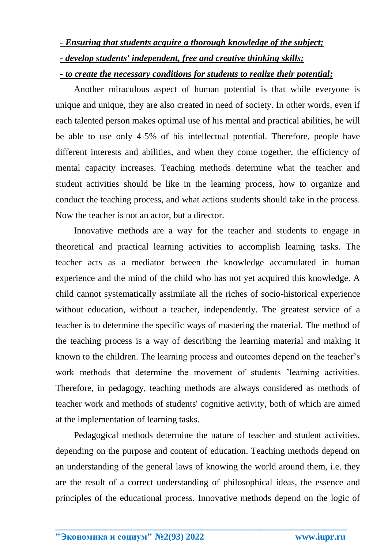## *- Ensuring that students acquire a thorough knowledge of the subject; - develop students' independent, free and creative thinking skills;*

## *- to create the necessary conditions for students to realize their potential;*

Another miraculous aspect of human potential is that while everyone is unique and unique, they are also created in need of society. In other words, even if each talented person makes optimal use of his mental and practical abilities, he will be able to use only 4-5% of his intellectual potential. Therefore, people have different interests and abilities, and when they come together, the efficiency of mental capacity increases. Teaching methods determine what the teacher and student activities should be like in the learning process, how to organize and conduct the teaching process, and what actions students should take in the process. Now the teacher is not an actor, but a director.

Innovative methods are a way for the teacher and students to engage in theoretical and practical learning activities to accomplish learning tasks. The teacher acts as a mediator between the knowledge accumulated in human experience and the mind of the child who has not yet acquired this knowledge. A child cannot systematically assimilate all the riches of socio-historical experience without education, without a teacher, independently. The greatest service of a teacher is to determine the specific ways of mastering the material. The method of the teaching process is a way of describing the learning material and making it known to the children. The learning process and outcomes depend on the teacher's work methods that determine the movement of students 'learning activities. Therefore, in pedagogy, teaching methods are always considered as methods of teacher work and methods of students' cognitive activity, both of which are aimed at the implementation of learning tasks.

Pedagogical methods determine the nature of teacher and student activities, depending on the purpose and content of education. Teaching methods depend on an understanding of the general laws of knowing the world around them, i.e. they are the result of a correct understanding of philosophical ideas, the essence and principles of the educational process. Innovative methods depend on the logic of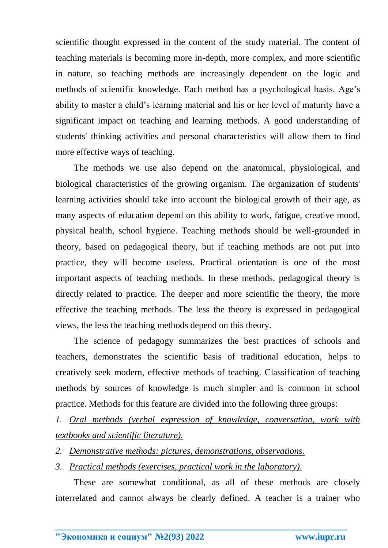scientific thought expressed in the content of the study material. The content of teaching materials is becoming more in-depth, more complex, and more scientific in nature, so teaching methods are increasingly dependent on the logic and methods of scientific knowledge. Each method has a psychological basis. Age's ability to master a child's learning material and his or her level of maturity have a significant impact on teaching and learning methods. A good understanding of students' thinking activities and personal characteristics will allow them to find more effective ways of teaching.

The methods we use also depend on the anatomical, physiological, and biological characteristics of the growing organism. The organization of students' learning activities should take into account the biological growth of their age, as many aspects of education depend on this ability to work, fatigue, creative mood, physical health, school hygiene. Teaching methods should be well-grounded in theory, based on pedagogical theory, but if teaching methods are not put into practice, they will become useless. Practical orientation is one of the most important aspects of teaching methods. In these methods, pedagogical theory is directly related to practice. The deeper and more scientific the theory, the more effective the teaching methods. The less the theory is expressed in pedagogical views, the less the teaching methods depend on this theory.

The science of pedagogy summarizes the best practices of schools and teachers, demonstrates the scientific basis of traditional education, helps to creatively seek modern, effective methods of teaching. Classification of teaching methods by sources of knowledge is much simpler and is common in school practice. Methods for this feature are divided into the following three groups:

*1. Oral methods (verbal expression of knowledge, conversation, work with textbooks and scientific literature).*

- *2. Demonstrative methods: pictures, demonstrations, observations.*
- *3. Practical methods (exercises, practical work in the laboratory).*

These are somewhat conditional, as all of these methods are closely interrelated and cannot always be clearly defined. A teacher is a trainer who